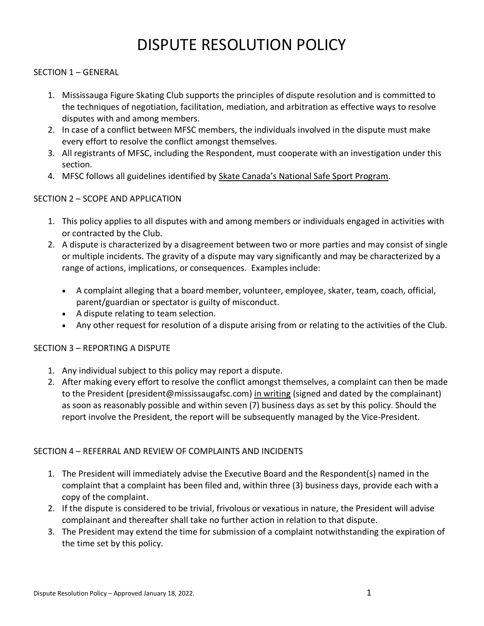# DISPUTE RESOLUTION POLICY

### SECTION 1 – GENERAL

- 1. Mississauga Figure Skating Club supports the principles of dispute resolution and is committed to the techniques of negotiation, facilitation, mediation, and arbitration as effective ways to resolve disputes with and among members.
- 2. In case of a conflict between MFSC members, the individuals involved in the dispute must make every effort to resolve the conflict amongst themselves.
- 3. All registrants of MFSC, including the Respondent, must cooperate with an investigation under this section.
- 4. MFSC follows all guidelines identified by [Skate Canada's National Safe Sport Program](https://skatecanada.ca/portfolio-item/safe-sport/).

#### SECTION 2 – SCOPE AND APPLICATION

- 1. This policy applies to all disputes with and among members or individuals engaged in activities with or contracted by the Club.
- 2. A dispute is characterized by a disagreement between two or more parties and may consist of single or multiple incidents. The gravity of a dispute may vary significantly and may be characterized by a range of actions, implications, or consequences. Examples include:
	- A complaint alleging that a board member, volunteer, employee, skater, team, coach, official, parent/guardian or spectator is guilty of misconduct.
	- A dispute relating to team selection.
	- Any other request for resolution of a dispute arising from or relating to the activities of the Club.

# SECTION 3 – REPORTING A DISPUTE

- 1. Any individual subject to this policy may report a dispute.
- 2. After making every effort to resolve the conflict amongst themselves, a complaint can then be made to the President (president@mississaugafsc.com) in writing (signed and dated by the complainant) as soon as reasonably possible and within seven (7) business days as set by this policy. Should the report involve the President, the report will be subsequently managed by the Vice-President.

#### SECTION 4 – REFERRAL AND REVIEW OF COMPLAINTS AND INCIDENTS

- 1. The President will immediately advise the Executive Board and the Respondent(s) named in the complaint that a complaint has been filed and, within three (3) business days, provide each with a copy of the complaint.
- 2. If the dispute is considered to be trivial, frivolous or vexatious in nature, the President will advise complainant and thereafter shall take no further action in relation to that dispute.
- 3. The President may extend the time for submission of a complaint notwithstanding the expiration of the time set by this policy.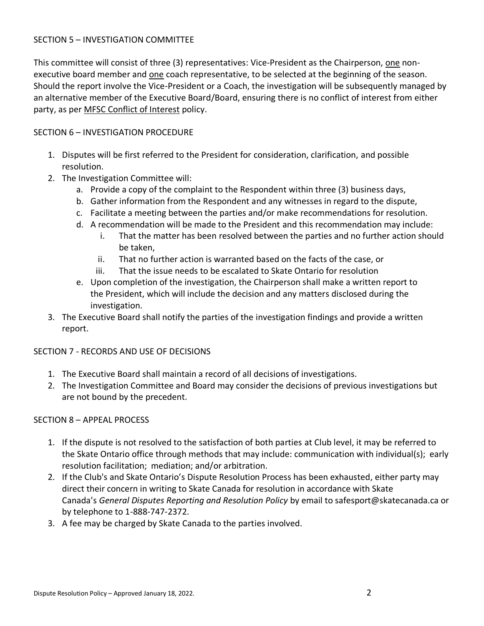#### SECTION 5 – INVESTIGATION COMMITTEE

This committee will consist of three (3) representatives: Vice-President as the Chairperson, one nonexecutive board member and one coach representative, to be selected at the beginning of the season. Should the report involve the Vice-President or a Coach, the investigation will be subsequently managed by an alternative member of the Executive Board/Board, ensuring there is no conflict of interest from either party, as per MFSC [Conflict of Interest](https://www.silverblades.ca/pages/Club-Policies/Conflict-Resolution-Policy/) policy.

# SECTION 6 – INVESTIGATION PROCEDURE

- 1. Disputes will be first referred to the President for consideration, clarification, and possible resolution.
- 2. The Investigation Committee will:
	- a. Provide a copy of the complaint to the Respondent within three (3) business days,
	- b. Gather information from the Respondent and any witnesses in regard to the dispute,
	- c. Facilitate a meeting between the parties and/or make recommendations for resolution.
	- d. A recommendation will be made to the President and this recommendation may include:
		- i. That the matter has been resolved between the parties and no further action should be taken,
		- ii. That no further action is warranted based on the facts of the case, or
		- iii. That the issue needs to be escalated to Skate Ontario for resolution
	- e. Upon completion of the investigation, the Chairperson shall make a written report to the President, which will include the decision and any matters disclosed during the investigation.
- 3. The Executive Board shall notify the parties of the investigation findings and provide a written report.

# SECTION 7 - RECORDS AND USE OF DECISIONS

- 1. The Executive Board shall maintain a record of all decisions of investigations.
- 2. The Investigation Committee and Board may consider the decisions of previous investigations but are not bound by the precedent.

# SECTION 8 – APPEAL PROCESS

- 1. If the dispute is not resolved to the satisfaction of both parties at Club level, it may be referred to the Skate Ontario office through methods that may include: communication with individual(s); early resolution facilitation; mediation; and/or arbitration.
- 2. If the Club's and Skate Ontario's Dispute Resolution Process has been exhausted, either party may direct their concern in writing to Skate Canada for resolution in accordance with Skate Canada's *[General Disputes Reporting and Resolution Policy](https://skatecanada.sharepoint.com/:b:/g/ET8aBZv-P-1FqKAG7xzBTucBvPwFkiFIQDqA5n5k9RtWwA?e=0zDEwB)* by email to safesport@skatecanada.ca or by telephone to 1-888-747-2372.
- 3. A fee may be charged by Skate Canada to the parties involved.